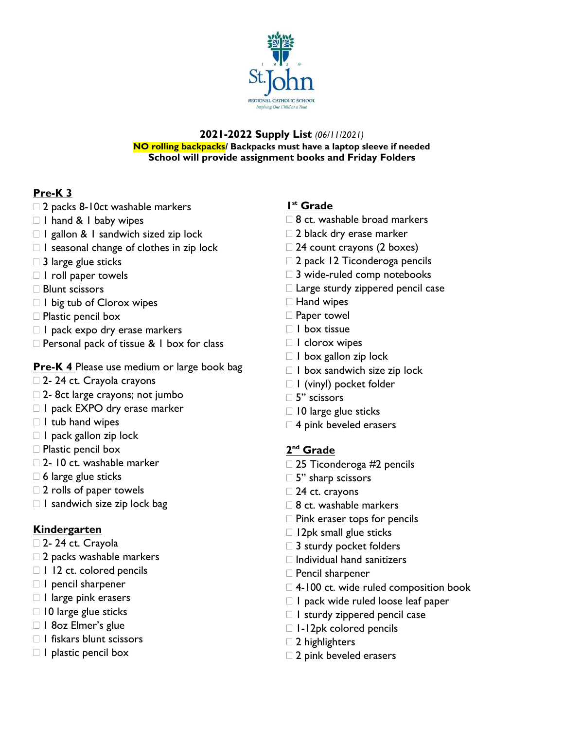

#### **2021-2022 Supply List** *(06/11/2021)* **NO rolling backpacks/ Backpacks must have a laptop sleeve if needed School will provide assignment books and Friday Folders**

# **Pre-K 3**

- □ 2 packs 8-10ct washable markers
- □ I hand & I baby wipes
- $\Box$  I gallon & I sandwich sized zip lock
- $\Box$  I seasonal change of clothes in zip lock
- $\square$  3 large glue sticks
- $\Box$  I roll paper towels
- □ Blunt scissors
- $\Box$  I big tub of Clorox wipes
- □ Plastic pencil box
- $\Box$  I pack expo dry erase markers
- $\Box$  Personal pack of tissue & 1 box for class

# **Pre-K 4** Please use medium or large book bag

- □ 2- 24 ct. Crayola crayons
- □ 2- 8ct large crayons; not jumbo
- □ I pack EXPO dry erase marker
- $\Box$  I tub hand wipes
- $\Box$  I pack gallon zip lock
- $\Box$  Plastic pencil box
- □ 2- 10 ct. washable marker
- $\square$  6 large glue sticks
- $\square$  2 rolls of paper towels
- $\Box$  I sandwich size zip lock bag

## **Kindergarten**

- □ 2- 24 ct. Crayola
- □ 2 packs washable markers
- □ 1 12 ct. colored pencils
- $\Box$  I pencil sharpener
- $\Box$  l large pink erasers
- $\Box$  10 large glue sticks
- □ 1 8oz Elmer's glue
- $\Box$  I fiskars blunt scissors
- $\Box$  I plastic pencil box

## **1 st Grade**

- $\Box$  8 ct. washable broad markers
- □ 2 black dry erase marker
- $\Box$  24 count crayons (2 boxes)
- □ 2 pack 12 Ticonderoga pencils
- □ 3 wide-ruled comp notebooks
- $\Box$  Large sturdy zippered pencil case
- □ Hand wipes
- □ Paper towel
- $\Box$  I box tissue
- □ I clorox wipes
- $\Box$  I box gallon zip lock
- $\Box$  I box sandwich size zip lock
- □ I (vinyl) pocket folder
- 5" scissors
- $\Box$  10 large glue sticks
- □ 4 pink beveled erasers

## **2 nd Grade**

- □ 25 Ticonderoga #2 pencils
- $\square$  5" sharp scissors
- □ 24 ct. crayons
- $\Box$  8 ct. washable markers
- $\square$  Pink eraser tops for pencils
- $\Box$  12pk small glue sticks
- $\square$  3 sturdy pocket folders
- $\Box$  Individual hand sanitizers
- Pencil sharpener
- $\Box$  4-100 ct. wide ruled composition book
- $\Box$  I pack wide ruled loose leaf paper
- $\Box$  I sturdy zippered pencil case
- □ 1-12pk colored pencils
- $\Box$  2 highlighters
- $\square$  2 pink beveled erasers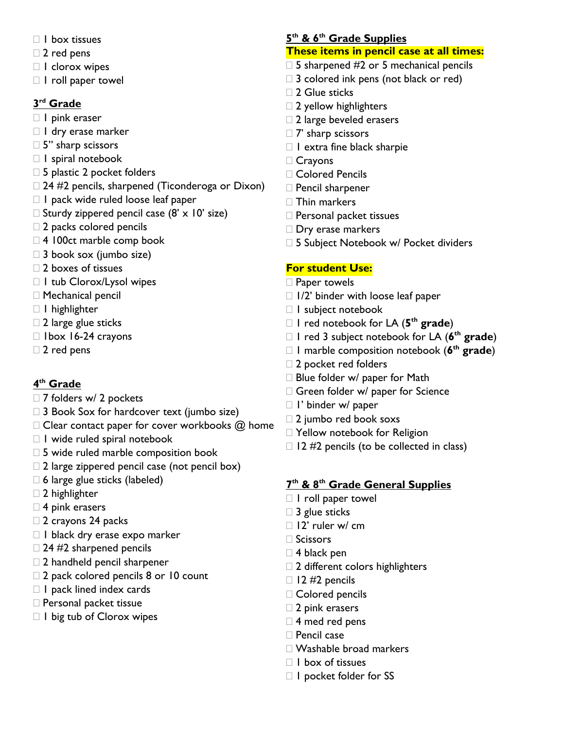- $\Box$  box tissues
- $\square$  2 red pens
- □ I clorox wipes
- $\Box$  I roll paper towel

## **3 rd Grade**

- □ I pink eraser
- I dry erase marker
- $\square$  5" sharp scissors
- $\Box$  I spiral notebook
- □ 5 plastic 2 pocket folders
- $\Box$  24 #2 pencils, sharpened (Ticonderoga or Dixon)
- $\Box$  I pack wide ruled loose leaf paper
- $\Box$  Sturdy zippered pencil case (8' x 10' size)
- $\square$  2 packs colored pencils
- $\Box$  4 100ct marble comp book
- 3 book sox (jumbo size)
- □ 2 boxes of tissues
- $\Box$  I tub Clorox/Lysol wipes
- Mechanical pencil
- □ I highlighter
- $\Box$  2 large glue sticks
- $\Box$  1box 16-24 crayons
- $\Box$  2 red pens

## **4 th Grade**

- □ 7 folders w/ 2 pockets
- $\Box$  3 Book Sox for hardcover text (jumbo size)
- $\Box$  Clear contact paper for cover workbooks  $\omega$  home
- $\Box$  I wide ruled spiral notebook
- $\square$  5 wide ruled marble composition book
- $\square$  2 large zippered pencil case (not pencil box)
- $\Box$  6 large glue sticks (labeled)
- □ 2 highlighter
- □ 4 pink erasers
- $\Box$  2 crayons 24 packs
- $\Box$  I black dry erase expo marker
- $\Box$  24 #2 sharpened pencils
- 2 handheld pencil sharpener
- $\Box$  2 pack colored pencils 8 or 10 count
- $\Box$  I pack lined index cards
- □ Personal packet tissue
- $\Box$  I big tub of Clorox wipes

#### **5 th & 6th Grade Supplies**

#### **These items in pencil case at all times:**

- $\Box$  5 sharpened #2 or 5 mechanical pencils
- $\Box$  3 colored ink pens (not black or red)
- □ 2 Glue sticks
- $\Box$  2 yellow highlighters
- $\square$  2 large beveled erasers
- $\Box$  7' sharp scissors
- $\Box$  I extra fine black sharpie
- □ Crayons
- Colored Pencils
- Pencil sharpener
- □ Thin markers
- □ Personal packet tissues
- Dry erase markers
- □ 5 Subject Notebook w/ Pocket dividers

#### **For student Use:**

- □ Paper towels
- $\Box$  1/2' binder with loose leaf paper
- □ I subject notebook
- 1 red notebook for LA (**5 th grade**)
- 1 red 3 subject notebook for LA (**6 th grade**)
- 1 marble composition notebook (**6 th grade**)
- □ 2 pocket red folders
- $\Box$  Blue folder w/ paper for Math
- Green folder w/ paper for Science
- □ I' binder w/ paper
- $\square$  2 jumbo red book soxs
- □ Yellow notebook for Religion
- $\Box$  12 #2 pencils (to be collected in class)

#### **7 th & 8th Grade General Supplies**

- $\Box$  I roll paper towel
- □ 3 glue sticks
- $\Box$  12' ruler w/ cm
- $\Box$  Scissors
- □ 4 black pen
- $\square$  2 different colors highlighters
- $\Box$  12 #2 pencils
- Colored pencils
- □ 2 pink erasers
- □ 4 med red pens
- $\Box$  Pencil case
- Washable broad markers
- $\Box$  I box of tissues
- $\Box$  I pocket folder for SS